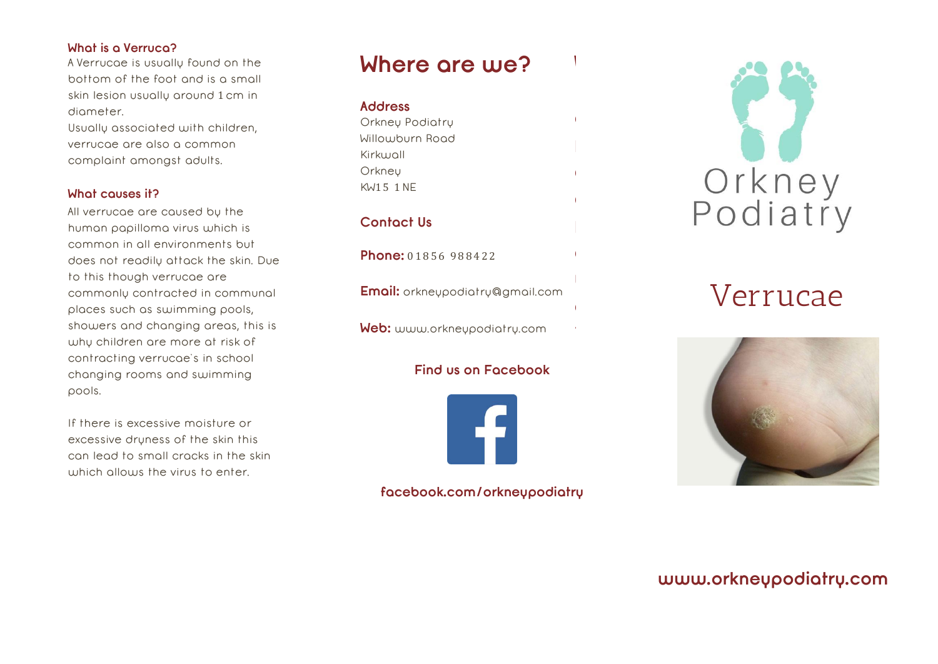#### **What is a Verruca?**

A Verrucae is usually found on the bottom of the foot and is a small skin lesion usually around 1cm in diameter.

Usually associated with children, verrucae are also a common complaint amongst adults.

### **What causes it?**

All verrucae are caused by the human papilloma virus which is common in all environments but does not readily attack the skin. Due to this though verrucae are commonly contracted in communal places such as swimming pools, showers and changing areas, this is why children are more at risk of contracting verrucae's in school changing rooms and swimming pools.

If there is excessive moisture or excessive dryness of the skin this can lead to small cracks in the skin which allows the virus to enter.

### **Where are we?**

**W**

**h**

**e**

**r**

**e** 

**a**

**r**

**e** 

**w**

**e**

**?**

### **Address**

Orkney Podiatry Willowburn Road Kirkwall **Orkneu** KW1 5 1NE

### **Contact Us**

**Phone:** 01856 988422

**Email:** [orkneypodiatry@gmail.com](mailto:orkneypodiatry@gmail.com)

**Web:** www.orkneypodiatry.com

### **Find us on Facebook**



### facebook.com/orkneypodiatry



## Verrucae



### **[www.orkneypodiatry.com](http://www.orkneypodiatry.com/)**